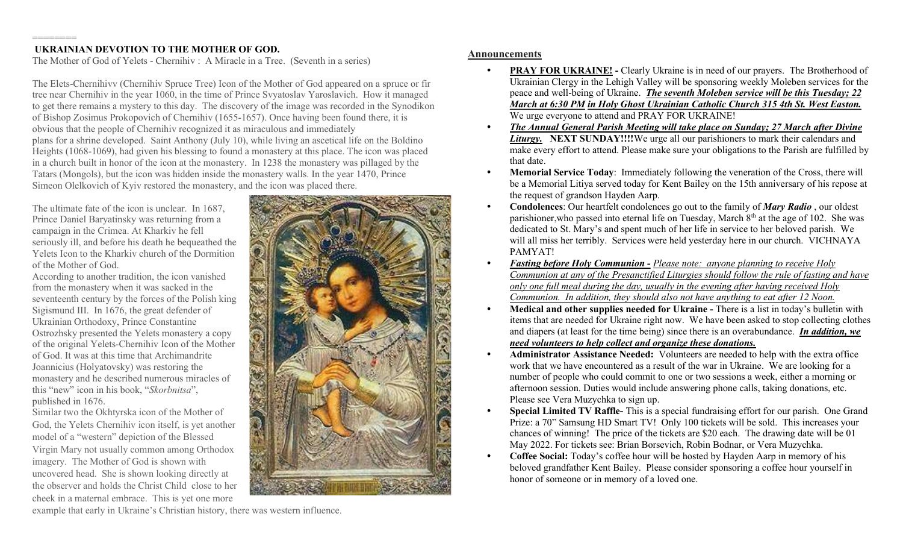## ======== UKRAINIAN DEVOTION TO THE MOTHER OF GOD.

The Mother of God of Yelets - Chernihiv : A Miracle in a Tree. (Seventh in a series)

The Elets-Chernihivv (Chernihiv Spruce Tree) Icon of the Mother of God appeared on a spruce or fir tree near Chernihiv in the year 1060, in the time of Prince Svyatoslav Yaroslavich. How it managed to get there remains a mystery to this day. The discovery of the image was recorded in the Synodikon of Bishop Zosimus Prokopovich of Chernihiv (1655-1657). Once having been found there, it is obvious that the people of Chernihiv recognized it as miraculous and immediately plans for a shrine developed. Saint Anthony (July 10), while living an ascetical life on the Boldino Heights (1068-1069), had given his blessing to found a monastery at this place. The icon was placed in a church built in honor of the icon at the monastery. In 1238 the monastery was pillaged by the Tatars (Mongols), but the icon was hidden inside the monastery walls. In the year 1470, Prince Simeon Olelkovich of Kyiv restored the monastery, and the icon was placed there.

The ultimate fate of the icon is unclear. In 1687, Prince Daniel Baryatinsky was returning from a campaign in the Crimea. At Kharkiv he fell seriously ill, and before his death he bequeathed the Yelets Icon to the Kharkiv church of the Dormition of the Mother of God.

According to another tradition, the icon vanished from the monastery when it was sacked in the seventeenth century by the forces of the Polish king Sigismund III. In 1676, the great defender of Ukrainian Orthodoxy, Prince Constantine Ostrozhsky presented the Yelets monastery a copy of the original Yelets-Chernihiv Icon of the Mother of God. It was at this time that Archimandrite Joannicius (Holyatovsky) was restoring the monastery and he described numerous miracles of this "new" icon in his book, "Skorbnitsa", published in 1676.

Similar two the Okhtyrska icon of the Mother of God, the Yelets Chernihiv icon itself, is yet another model of a "western" depiction of the Blessed Virgin Mary not usually common among Orthodox imagery. The Mother of God is shown with uncovered head. She is shown looking directly at the observer and holds the Christ Child close to her cheek in a maternal embrace. This is yet one more



## Announcements

- **PRAY FOR UKRAINE!** Clearly Ukraine is in need of our prayers. The Brotherhood of Ukrainian Clergy in the Lehigh Valley will be sponsoring weekly Moleben services for the peace and well-being of Ukraine. The seventh Moleben service will be this Tuesday; 22 March at 6:30 PM in Holy Ghost Ukrainian Catholic Church 315 4th St. West Easton. We urge everyone to attend and PRAY FOR UKRAINE!
- The Annual General Parish Meeting will take place on Sunday; 27 March after Divine Liturgy. NEXT SUNDAY!!!!We urge all our parishioners to mark their calendars and make every effort to attend. Please make sure your obligations to the Parish are fulfilled by that date.
- Memorial Service Today: Immediately following the veneration of the Cross, there will be a Memorial Litiya served today for Kent Bailey on the 15th anniversary of his repose at the request of grandson Hayden Aarp.
- Condolences: Our heartfelt condolences go out to the family of *Mary Radio*, our oldest parishioner, who passed into eternal life on Tuesday, March  $8<sup>th</sup>$  at the age of 102. She was dedicated to St. Mary's and spent much of her life in service to her beloved parish. We will all miss her terribly. Services were held yesterday here in our church. VICHNAYA PAMYAT!
- Fasting before Holy Communion Please note: anyone planning to receive Holy Communion at any of the Presanctified Liturgies should follow the rule of fasting and have only one full meal during the day, usually in the evening after having received Holy Communion. In addition, they should also not have anything to eat after 12 Noon.
- Medical and other supplies needed for Ukraine There is a list in today's bulletin with items that are needed for Ukraine right now. We have been asked to stop collecting clothes and diapers (at least for the time being) since there is an overabundance. In addition, we need volunteers to help collect and organize these donations.
- Administrator Assistance Needed: Volunteers are needed to help with the extra office work that we have encountered as a result of the war in Ukraine. We are looking for a number of people who could commit to one or two sessions a week, either a morning or afternoon session. Duties would include answering phone calls, taking donations, etc. Please see Vera Muzychka to sign up.
- Special Limited TV Raffle- This is a special fundraising effort for our parish. One Grand Prize: a 70" Samsung HD Smart TV! Only 100 tickets will be sold. This increases your chances of winning! The price of the tickets are \$20 each. The drawing date will be 01 May 2022. For tickets see: Brian Borsevich, Robin Bodnar, or Vera Muzychka.
- Coffee Social: Today's coffee hour will be hosted by Hayden Aarp in memory of his beloved grandfather Kent Bailey. Please consider sponsoring a coffee hour yourself in honor of someone or in memory of a loved one.

example that early in Ukraine's Christian history, there was western influence.